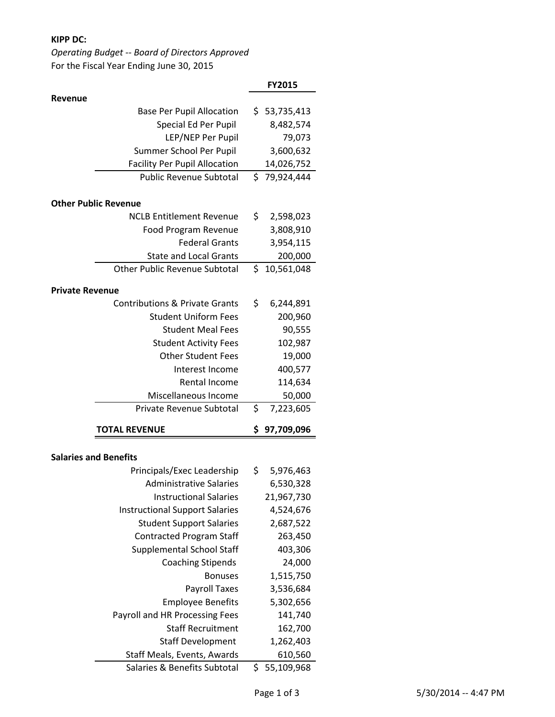## **KIPP DC:**

*Operating Budget -- Board of Directors Approved* For the Fiscal Year Ending June 30, 2015

|                                                             | <b>FY2015</b>               |
|-------------------------------------------------------------|-----------------------------|
| Revenue                                                     |                             |
| <b>Base Per Pupil Allocation</b>                            | \$53,735,413                |
| Special Ed Per Pupil                                        | 8,482,574                   |
| LEP/NEP Per Pupil                                           | 79,073                      |
| Summer School Per Pupil                                     | 3,600,632                   |
| <b>Facility Per Pupil Allocation</b>                        | 14,026,752                  |
| <b>Public Revenue Subtotal</b>                              | \$79,924,444                |
| <b>Other Public Revenue</b>                                 |                             |
| <b>NCLB Entitlement Revenue</b>                             | \$<br>2,598,023             |
| Food Program Revenue                                        | 3,808,910                   |
| <b>Federal Grants</b>                                       | 3,954,115                   |
| <b>State and Local Grants</b>                               | 200,000                     |
| <b>Other Public Revenue Subtotal</b>                        | \$10,561,048                |
|                                                             |                             |
| <b>Private Revenue</b>                                      |                             |
| <b>Contributions &amp; Private Grants</b>                   | \$<br>6,244,891             |
| <b>Student Uniform Fees</b>                                 | 200,960                     |
| <b>Student Meal Fees</b>                                    | 90,555                      |
| <b>Student Activity Fees</b>                                | 102,987                     |
| <b>Other Student Fees</b>                                   | 19,000                      |
| Interest Income                                             | 400,577                     |
| Rental Income                                               | 114,634                     |
| Miscellaneous Income                                        | 50,000                      |
| Private Revenue Subtotal                                    | \$<br>7,223,605             |
| <b>TOTAL REVENUE</b>                                        | 97,709,096<br>\$.           |
| <b>Salaries and Benefits</b>                                |                             |
| Principals/Exec Leadership                                  | \$<br>5,976,463             |
| <b>Administrative Salaries</b>                              | 6,530,328                   |
| <b>Instructional Salaries</b>                               | 21,967,730                  |
| <b>Instructional Support Salaries</b>                       | 4,524,676                   |
| <b>Student Support Salaries</b>                             | 2,687,522                   |
| <b>Contracted Program Staff</b>                             | 263,450                     |
| <b>Supplemental School Staff</b>                            | 403,306                     |
| <b>Coaching Stipends</b>                                    | 24,000                      |
| <b>Bonuses</b>                                              | 1,515,750                   |
|                                                             |                             |
| <b>Payroll Taxes</b><br><b>Employee Benefits</b>            | 3,536,684<br>5,302,656      |
|                                                             |                             |
| Payroll and HR Processing Fees                              | 141,740                     |
| <b>Staff Recruitment</b>                                    | 162,700                     |
| <b>Staff Development</b>                                    | 1,262,403                   |
| Staff Meals, Events, Awards<br>Salaries & Benefits Subtotal | 610,560<br>\$<br>55,109,968 |
|                                                             |                             |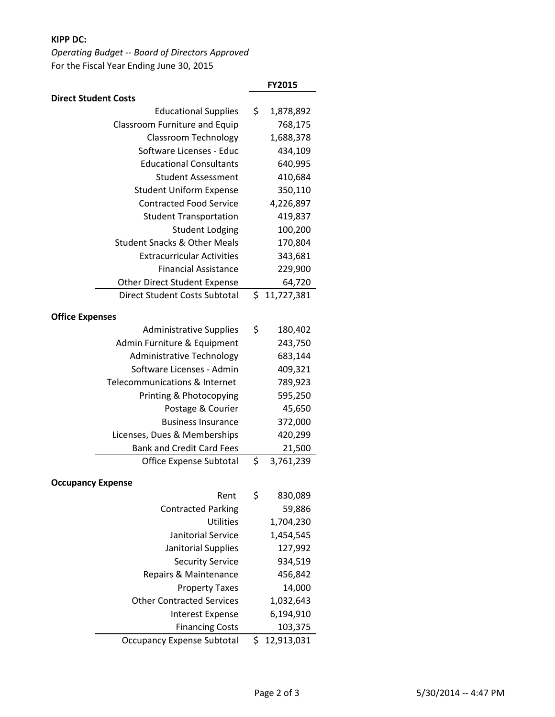## **KIPP DC:**

*Operating Budget -- Board of Directors Approved* For the Fiscal Year Ending June 30, 2015

|                                         | FY2015           |
|-----------------------------------------|------------------|
| <b>Direct Student Costs</b>             |                  |
| <b>Educational Supplies</b>             | \$<br>1,878,892  |
| Classroom Furniture and Equip           | 768,175          |
| <b>Classroom Technology</b>             | 1,688,378        |
| Software Licenses - Educ                | 434,109          |
| <b>Educational Consultants</b>          | 640,995          |
| <b>Student Assessment</b>               | 410,684          |
| <b>Student Uniform Expense</b>          | 350,110          |
| <b>Contracted Food Service</b>          | 4,226,897        |
| <b>Student Transportation</b>           | 419,837          |
| <b>Student Lodging</b>                  | 100,200          |
| <b>Student Snacks &amp; Other Meals</b> | 170,804          |
| <b>Extracurricular Activities</b>       | 343,681          |
| <b>Financial Assistance</b>             | 229,900          |
| <b>Other Direct Student Expense</b>     | 64,720           |
| <b>Direct Student Costs Subtotal</b>    | \$<br>11,727,381 |
| <b>Office Expenses</b>                  |                  |
| <b>Administrative Supplies</b>          | \$<br>180,402    |
| Admin Furniture & Equipment             | 243,750          |
| Administrative Technology               | 683,144          |
| Software Licenses - Admin               | 409,321          |
| Telecommunications & Internet           | 789,923          |
| Printing & Photocopying                 | 595,250          |
| Postage & Courier                       | 45,650           |
| <b>Business Insurance</b>               | 372,000          |
| Licenses, Dues & Memberships            | 420,299          |
| <b>Bank and Credit Card Fees</b>        | 21,500           |
| <b>Office Expense Subtotal</b>          | \$<br>3,761,239  |
|                                         |                  |
| <b>Occupancy Expense</b>                |                  |
| Rent                                    | \$<br>830,089    |
| <b>Contracted Parking</b>               | 59,886           |
| <b>Utilities</b>                        | 1,704,230        |
| <b>Janitorial Service</b>               | 1,454,545        |
| Janitorial Supplies                     | 127,992          |
| <b>Security Service</b>                 | 934,519          |
| Repairs & Maintenance                   | 456,842          |
| <b>Property Taxes</b>                   | 14,000           |
| <b>Other Contracted Services</b>        | 1,032,643        |
| <b>Interest Expense</b>                 | 6,194,910        |
| <b>Financing Costs</b>                  | 103,375          |
| <b>Occupancy Expense Subtotal</b>       | \$<br>12,913,031 |